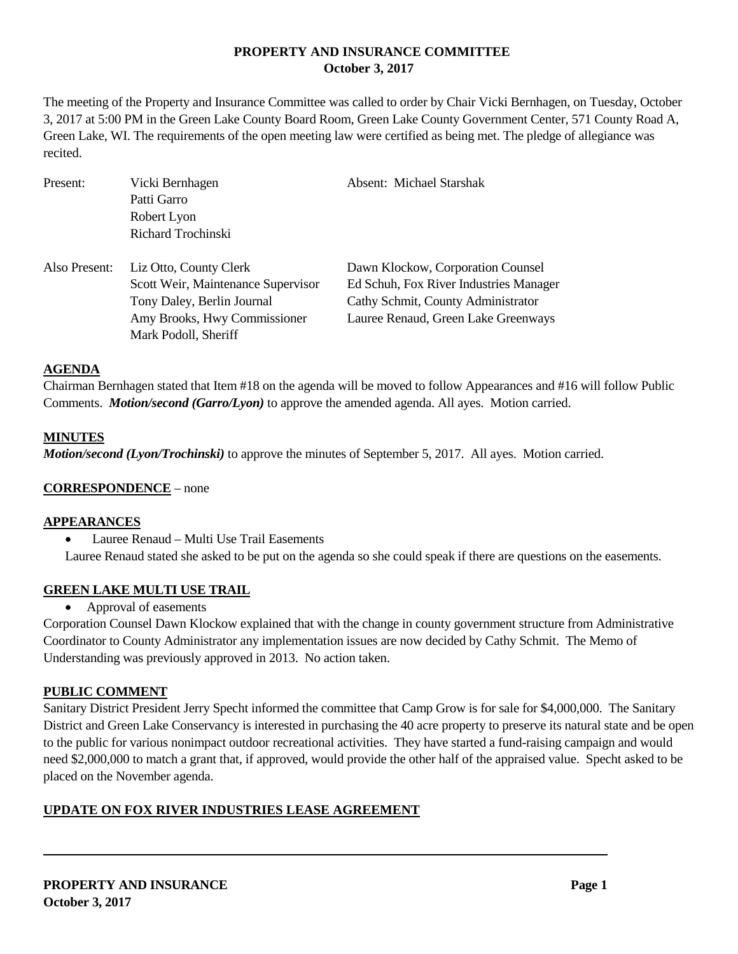## **PROPERTY AND INSURANCE COMMITTEE October 3, 2017**

The meeting of the Property and Insurance Committee was called to order by Chair Vicki Bernhagen, on Tuesday, October 3, 2017 at 5:00 PM in the Green Lake County Board Room, Green Lake County Government Center, 571 County Road A, Green Lake, WI. The requirements of the open meeting law were certified as being met. The pledge of allegiance was recited.

| Present:      | Vicki Bernhagen                    | Absent: Michael Starshak               |
|---------------|------------------------------------|----------------------------------------|
|               | Patti Garro                        |                                        |
|               | Robert Lyon                        |                                        |
|               | Richard Trochinski                 |                                        |
| Also Present: | Liz Otto, County Clerk             | Dawn Klockow, Corporation Counsel      |
|               | Scott Weir, Maintenance Supervisor | Ed Schuh, Fox River Industries Manager |
|               | Tony Daley, Berlin Journal         | Cathy Schmit, County Administrator     |
|               | Amy Brooks, Hwy Commissioner       | Lauree Renaud, Green Lake Greenways    |
|               | Mark Podoll, Sheriff               |                                        |

#### **AGENDA**

Chairman Bernhagen stated that Item #18 on the agenda will be moved to follow Appearances and #16 will follow Public Comments. *Motion/second (Garro/Lyon)* to approve the amended agenda. All ayes. Motion carried.

### **MINUTES**

*Motion/second (Lyon/Trochinski)* to approve the minutes of September 5, 2017. All ayes. Motion carried.

### **CORRESPONDENCE** – none

#### **APPEARANCES**

• Lauree Renaud – Multi Use Trail Easements

Lauree Renaud stated she asked to be put on the agenda so she could speak if there are questions on the easements.

### **GREEN LAKE MULTI USE TRAIL**

• Approval of easements

Corporation Counsel Dawn Klockow explained that with the change in county government structure from Administrative Coordinator to County Administrator any implementation issues are now decided by Cathy Schmit. The Memo of Understanding was previously approved in 2013. No action taken.

#### **PUBLIC COMMENT**

Sanitary District President Jerry Specht informed the committee that Camp Grow is for sale for \$4,000,000. The Sanitary District and Green Lake Conservancy is interested in purchasing the 40 acre property to preserve its natural state and be open to the public for various nonimpact outdoor recreational activities. They have started a fund-raising campaign and would need \$2,000,000 to match a grant that, if approved, would provide the other half of the appraised value. Specht asked to be placed on the November agenda.

### **UPDATE ON FOX RIVER INDUSTRIES LEASE AGREEMENT**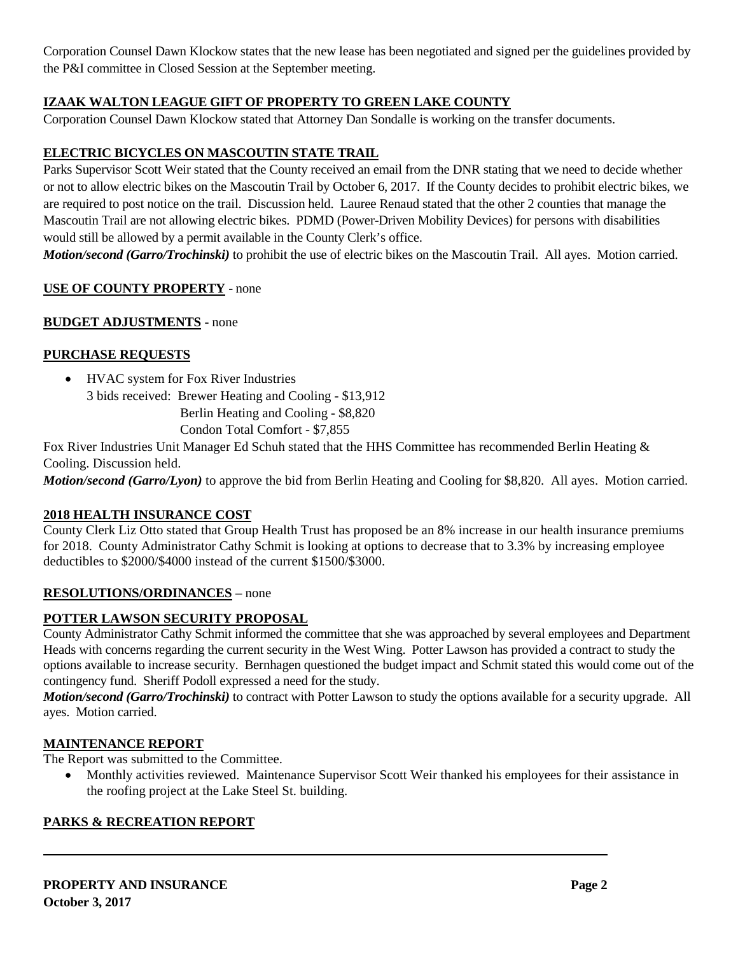Corporation Counsel Dawn Klockow states that the new lease has been negotiated and signed per the guidelines provided by the P&I committee in Closed Session at the September meeting.

# **IZAAK WALTON LEAGUE GIFT OF PROPERTY TO GREEN LAKE COUNTY**

Corporation Counsel Dawn Klockow stated that Attorney Dan Sondalle is working on the transfer documents.

# **ELECTRIC BICYCLES ON MASCOUTIN STATE TRAIL**

Parks Supervisor Scott Weir stated that the County received an email from the DNR stating that we need to decide whether or not to allow electric bikes on the Mascoutin Trail by October 6, 2017. If the County decides to prohibit electric bikes, we are required to post notice on the trail. Discussion held. Lauree Renaud stated that the other 2 counties that manage the Mascoutin Trail are not allowing electric bikes. PDMD (Power-Driven Mobility Devices) for persons with disabilities would still be allowed by a permit available in the County Clerk's office.

*Motion/second (Garro/Trochinski)* to prohibit the use of electric bikes on the Mascoutin Trail. All ayes. Motion carried.

## **USE OF COUNTY PROPERTY** - none

## **BUDGET ADJUSTMENTS** - none

### **PURCHASE REQUESTS**

• HVAC system for Fox River Industries 3 bids received: Brewer Heating and Cooling - \$13,912 Berlin Heating and Cooling - \$8,820 Condon Total Comfort - \$7,855

Fox River Industries Unit Manager Ed Schuh stated that the HHS Committee has recommended Berlin Heating & Cooling. Discussion held.

*Motion/second (Garro/Lyon)* to approve the bid from Berlin Heating and Cooling for \$8,820. All ayes. Motion carried.

### **2018 HEALTH INSURANCE COST**

County Clerk Liz Otto stated that Group Health Trust has proposed be an 8% increase in our health insurance premiums for 2018. County Administrator Cathy Schmit is looking at options to decrease that to 3.3% by increasing employee deductibles to \$2000/\$4000 instead of the current \$1500/\$3000.

### **RESOLUTIONS/ORDINANCES** – none

### **POTTER LAWSON SECURITY PROPOSAL**

County Administrator Cathy Schmit informed the committee that she was approached by several employees and Department Heads with concerns regarding the current security in the West Wing. Potter Lawson has provided a contract to study the options available to increase security. Bernhagen questioned the budget impact and Schmit stated this would come out of the contingency fund. Sheriff Podoll expressed a need for the study.

*Motion/second (Garro/Trochinski)* to contract with Potter Lawson to study the options available for a security upgrade. All ayes. Motion carried.

### **MAINTENANCE REPORT**

The Report was submitted to the Committee.

• Monthly activities reviewed. Maintenance Supervisor Scott Weir thanked his employees for their assistance in the roofing project at the Lake Steel St. building.

### **PARKS & RECREATION REPORT**